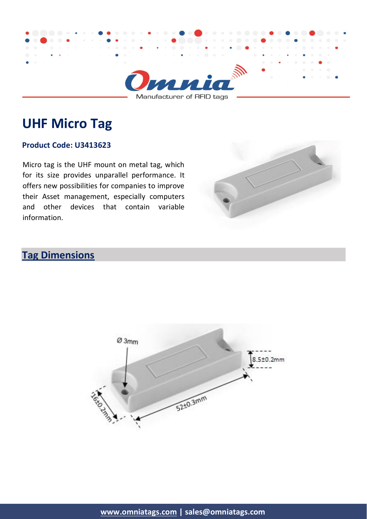

Manufacturer of RFID tags

# **UHF Micro Tag**

#### **Product Code: U3413623**

Micro tag is the UHF mount on metal tag, which for its size provides unparallel performance. It offers new possibilities for companies to improve their Asset management, especially computers and other devices that contain variable information.



## **Tag Dimensions**

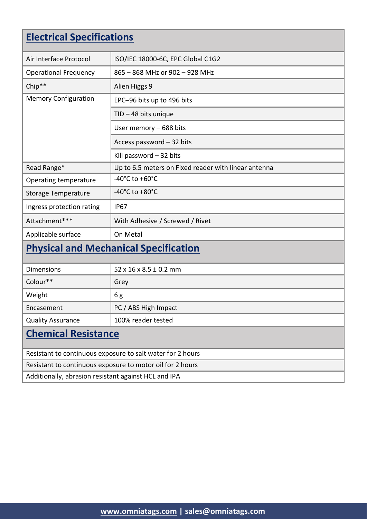# **Electrical Specifications**

| Air Interface Protocol                       | ISO/IEC 18000-6C, EPC Global C1G2                    |  |
|----------------------------------------------|------------------------------------------------------|--|
| <b>Operational Frequency</b>                 | 865 - 868 MHz or 902 - 928 MHz                       |  |
| Chip**                                       | Alien Higgs 9                                        |  |
| <b>Memory Configuration</b>                  | EPC-96 bits up to 496 bits                           |  |
|                                              | $TID - 48 bits unique$                               |  |
|                                              | User memory $-688$ bits                              |  |
|                                              | Access password - 32 bits                            |  |
|                                              | Kill password $-32$ bits                             |  |
| Read Range*                                  | Up to 6.5 meters on Fixed reader with linear antenna |  |
| Operating temperature                        | -40 $^{\circ}$ C to +60 $^{\circ}$ C                 |  |
| <b>Storage Temperature</b>                   | -40 $^{\circ}$ C to +80 $^{\circ}$ C                 |  |
| Ingress protection rating                    | <b>IP67</b>                                          |  |
| Attachment***                                | With Adhesive / Screwed / Rivet                      |  |
| Applicable surface                           | On Metal                                             |  |
| <b>Physical and Mechanical Specification</b> |                                                      |  |

| <b>Dimensions</b>        | $52 \times 16 \times 8.5 \pm 0.2$ mm |
|--------------------------|--------------------------------------|
| Colour**                 | Grey                                 |
| Weight                   | 6g                                   |
| Encasement               | PC / ABS High Impact                 |
| <b>Quality Assurance</b> | 100% reader tested                   |
|                          |                                      |

### **Chemical Resistance**

Resistant to continuous exposure to salt water for 2 hours

Resistant to continuous exposure to motor oil for 2 hours

Additionally, abrasion resistant against HCL and IPA